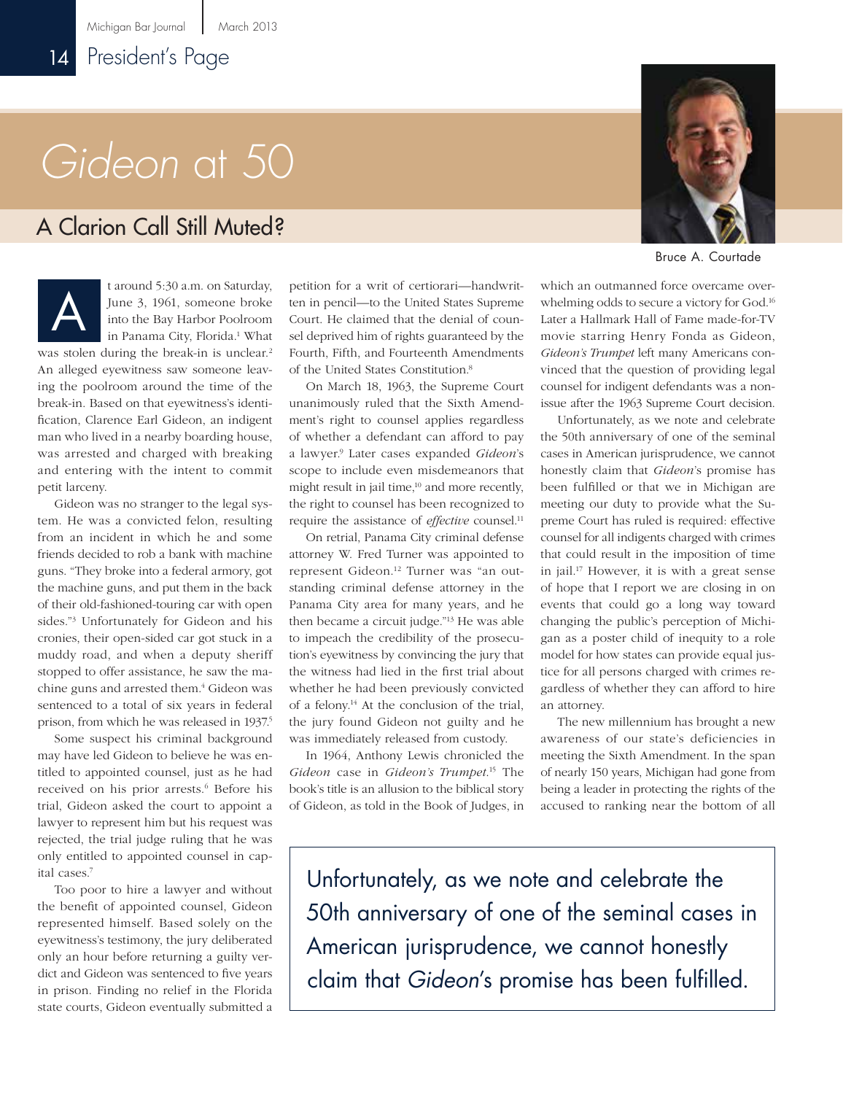# *Gideon* at 50

### A Clarion Call Still Muted?

t around 5:30 a.m. on Saturday, June 3, 1961, someone broke into the Bay Harbor Poolroom in Panama City, Florida.<sup>1</sup> What was stolen during the break-in is unclear.<sup>2</sup> An alleged eyewitness saw someone leaving the poolroom around the time of the A

break-in. Based on that eyewitness's identification, Clarence Earl Gideon, an indigent man who lived in a nearby boarding house, was arrested and charged with breaking and entering with the intent to commit petit larceny.

Gideon was no stranger to the legal system. He was a convicted felon, resulting from an incident in which he and some friends decided to rob a bank with machine guns. "They broke into a federal armory, got the machine guns, and put them in the back of their old-fashioned-touring car with open sides."3 Unfortunately for Gideon and his cronies, their open-sided car got stuck in a muddy road, and when a deputy sheriff stopped to offer assistance, he saw the machine guns and arrested them.<sup>4</sup> Gideon was sentenced to a total of six years in federal prison, from which he was released in 1937.<sup>5</sup>

Some suspect his criminal background may have led Gideon to believe he was entitled to appointed counsel, just as he had received on his prior arrests.<sup>6</sup> Before his trial, Gideon asked the court to appoint a lawyer to represent him but his request was rejected, the trial judge ruling that he was only entitled to appointed counsel in capital cases.7

Too poor to hire a lawyer and without the benefit of appointed counsel, Gideon represented himself. Based solely on the eyewitness's testimony, the jury deliberated only an hour before returning a guilty verdict and Gideon was sentenced to five years in prison. Finding no relief in the Florida state courts, Gideon eventually submitted a

petition for a writ of certiorari—handwritten in pencil—to the United States Supreme Court. He claimed that the denial of counsel deprived him of rights guaranteed by the Fourth, Fifth, and Fourteenth Amendments of the United States Constitution.8

On March 18, 1963, the Supreme Court unanimously ruled that the Sixth Amendment's right to counsel applies regardless of whether a defendant can afford to pay a lawyer.9 Later cases expanded *Gideon*'s scope to include even misdemeanors that might result in jail time, $10$  and more recently, the right to counsel has been recognized to require the assistance of *effective* counsel.<sup>11</sup>

On retrial, Panama City criminal defense attorney W. Fred Turner was appointed to represent Gideon.<sup>12</sup> Turner was "an outstanding criminal defense attorney in the Panama City area for many years, and he then became a circuit judge."13 He was able to impeach the credibility of the prosecution's eyewitness by convincing the jury that the witness had lied in the first trial about whether he had been previously convicted of a felony.14 At the conclusion of the trial, the jury found Gideon not guilty and he was immediately released from custody.

In 1964, Anthony Lewis chronicled the *Gideon* case in *Gideon's Trumpet*. 15 The book's title is an allusion to the biblical story of Gideon, as told in the Book of Judges, in



Bruce A. Courtade

which an outmanned force overcame overwhelming odds to secure a victory for God.16 Later a Hallmark Hall of Fame made-for-TV movie starring Henry Fonda as Gideon, *Gideon's Trumpet* left many Americans convinced that the question of providing legal counsel for indigent defendants was a nonissue after the 1963 Supreme Court decision.

Unfortunately, as we note and celebrate the 50th anniversary of one of the seminal cases in American jurisprudence, we cannot honestly claim that *Gideon*'s promise has been fulfilled or that we in Michigan are meeting our duty to provide what the Supreme Court has ruled is required: effective counsel for all indigents charged with crimes that could result in the imposition of time in jail.17 However, it is with a great sense of hope that I report we are closing in on events that could go a long way toward changing the public's perception of Michigan as a poster child of inequity to a role model for how states can provide equal justice for all persons charged with crimes regardless of whether they can afford to hire an attorney.

The new millennium has brought a new awareness of our state's deficiencies in meeting the Sixth Amendment. In the span of nearly 150 years, Michigan had gone from being a leader in protecting the rights of the accused to ranking near the bottom of all

Unfortunately, as we note and celebrate the 50th anniversary of one of the seminal cases in American jurisprudence, we cannot honestly claim that *Gideon*'s promise has been fulfilled.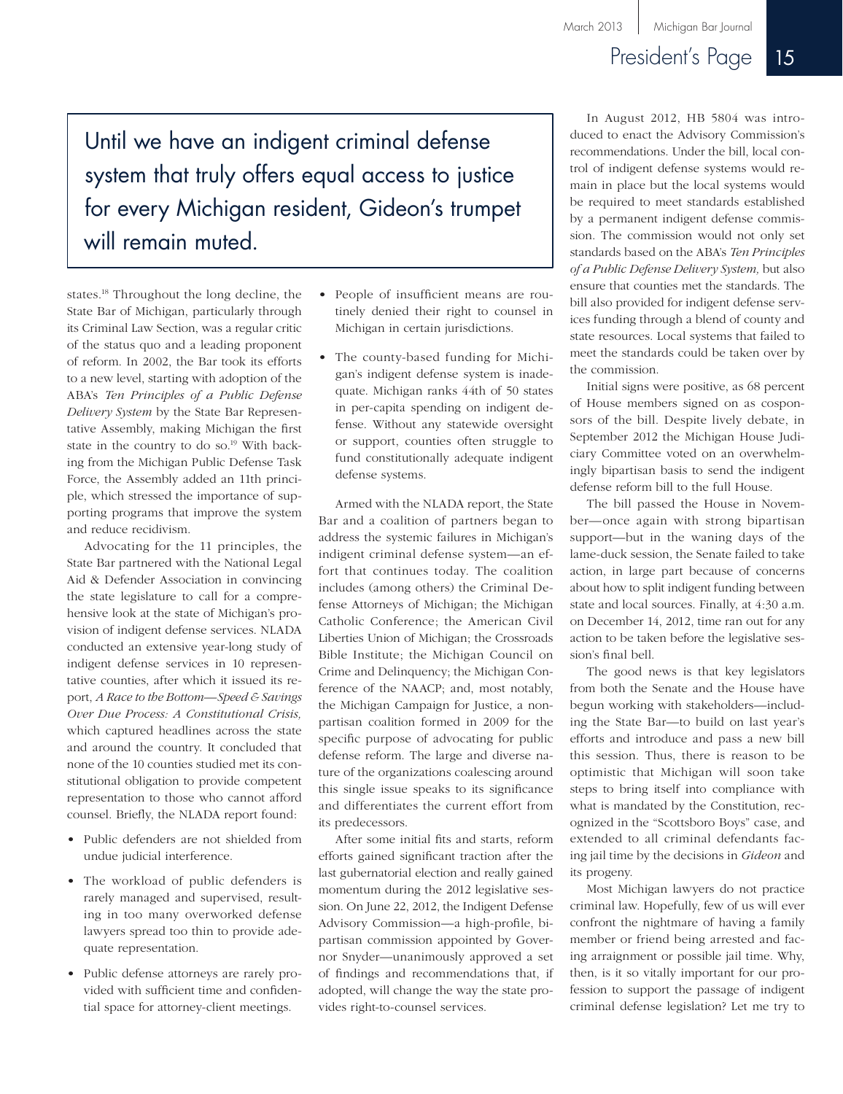## President's Page 15

Until we have an indigent criminal defense system that truly offers equal access to justice for every Michigan resident, Gideon's trumpet will remain muted.

states.18 Throughout the long decline, the State Bar of Michigan, particularly through its Criminal Law Section, was a regular critic of the status quo and a leading proponent of reform. In 2002, the Bar took its efforts to a new level, starting with adoption of the ABA's *Ten Principles of a Public Defense Delivery System* by the State Bar Representative Assembly, making Michigan the first state in the country to do so.<sup>19</sup> With backing from the Michigan Public Defense Task Force, the Assembly added an 11th principle, which stressed the importance of supporting programs that improve the system and reduce recidivism.

Advocating for the 11 principles, the State Bar partnered with the National Legal Aid & Defender Association in convincing the state legislature to call for a comprehensive look at the state of Michigan's provision of indigent defense services. NLADA conducted an extensive year-long study of indigent defense services in 10 representative counties, after which it issued its report, *A Race to the Bottom—Speed & Savings Over Due Process: A Constitutional Crisis,* which captured headlines across the state and around the country. It concluded that none of the 10 counties studied met its constitutional obligation to provide competent representation to those who cannot afford counsel. Briefly, the NLADA report found:

- Public defenders are not shielded from undue judicial interference.
- The workload of public defenders is rarely managed and supervised, resulting in too many overworked defense lawyers spread too thin to provide adequate representation.
- Public defense attorneys are rarely provided with sufficient time and confidential space for attorney-client meetings.
- People of insufficient means are routinely denied their right to counsel in Michigan in certain jurisdictions.
- The county-based funding for Michigan's indigent defense system is inadequate. Michigan ranks 44th of 50 states in per-capita spending on indigent defense. Without any statewide oversight or support, counties often struggle to fund constitutionally adequate indigent defense systems.

Armed with the NLADA report, the State Bar and a coalition of partners began to address the systemic failures in Michigan's indigent criminal defense system—an effort that continues today. The coalition includes (among others) the Criminal Defense Attorneys of Michigan; the Michigan Catholic Conference; the American Civil Liberties Union of Michigan; the Crossroads Bible Institute; the Michigan Council on Crime and Delinquency; the Michigan Conference of the NAACP; and, most notably, the Michigan Campaign for Justice, a nonpartisan coalition formed in 2009 for the specific purpose of advocating for public defense reform. The large and diverse nature of the organizations coalescing around this single issue speaks to its significance and differentiates the current effort from its predecessors.

After some initial fits and starts, reform efforts gained significant traction after the last gubernatorial election and really gained momentum during the 2012 legislative session. On June 22, 2012, the Indigent Defense Advisory Commission—a high-profile, bipartisan commission appointed by Governor Snyder—unanimously approved a set of findings and recommendations that, if adopted, will change the way the state provides right-to-counsel services.

In August 2012, HB 5804 was introduced to enact the Advisory Commission's recommendations. Under the bill, local control of indigent defense systems would remain in place but the local systems would be required to meet standards established by a permanent indigent defense commission. The commission would not only set standards based on the ABA's *Ten Principles of a Public Defense Delivery System,* but also ensure that counties met the standards. The bill also provided for indigent defense services funding through a blend of county and state resources. Local systems that failed to meet the standards could be taken over by the commission.

Initial signs were positive, as 68 percent of House members signed on as cosponsors of the bill. Despite lively debate, in September 2012 the Michigan House Judiciary Committee voted on an overwhelmingly bipartisan basis to send the indigent defense reform bill to the full House.

The bill passed the House in November—once again with strong bipartisan support—but in the waning days of the lame-duck session, the Senate failed to take action, in large part because of concerns about how to split indigent funding between state and local sources. Finally, at 4:30 a.m. on December 14, 2012, time ran out for any action to be taken before the legislative session's final bell.

The good news is that key legislators from both the Senate and the House have begun working with stakeholders—including the State Bar—to build on last year's efforts and introduce and pass a new bill this session. Thus, there is reason to be optimistic that Michigan will soon take steps to bring itself into compliance with what is mandated by the Constitution, recognized in the "Scottsboro Boys" case, and extended to all criminal defendants facing jail time by the decisions in *Gideon* and its progeny.

Most Michigan lawyers do not practice criminal law. Hopefully, few of us will ever confront the nightmare of having a family member or friend being arrested and facing arraignment or possible jail time. Why, then, is it so vitally important for our profession to support the passage of indigent criminal defense legislation? Let me try to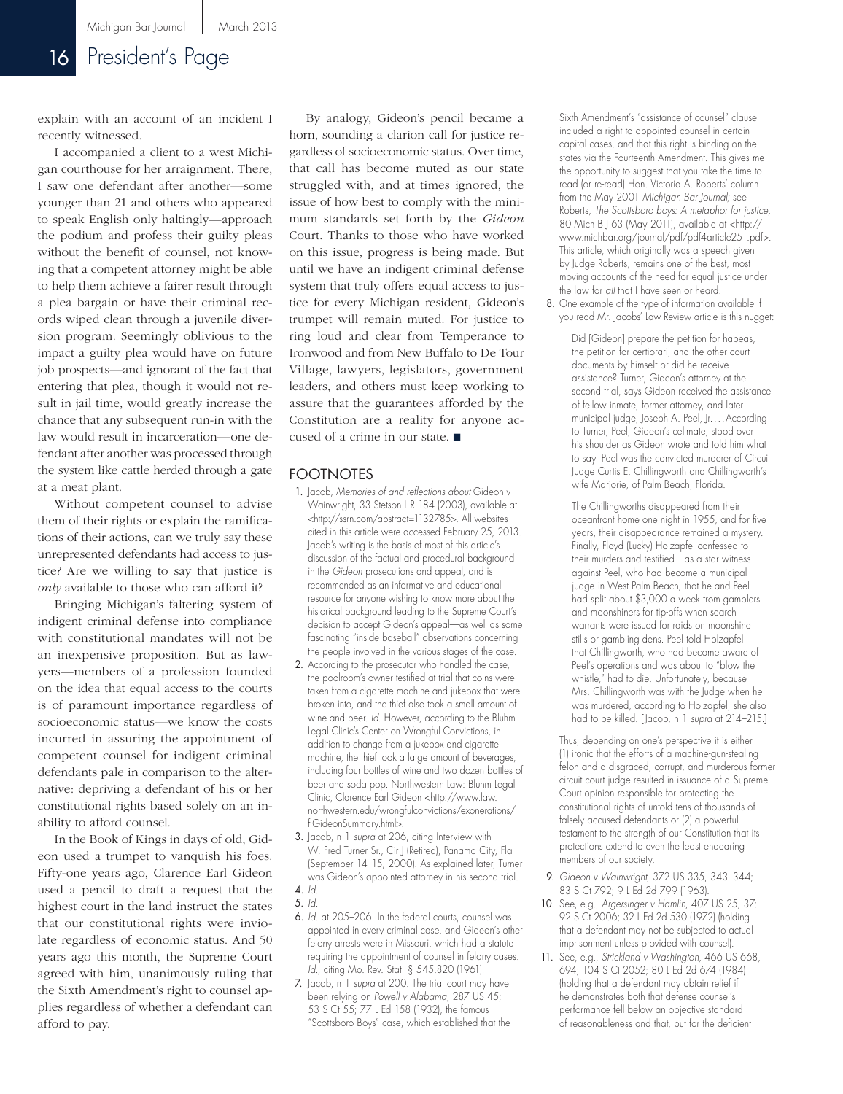### 16 President's Page

explain with an account of an incident I recently witnessed.

I accompanied a client to a west Michigan courthouse for her arraignment. There, I saw one defendant after another—some younger than 21 and others who appeared to speak English only haltingly—approach the podium and profess their guilty pleas without the benefit of counsel, not knowing that a competent attorney might be able to help them achieve a fairer result through a plea bargain or have their criminal records wiped clean through a juvenile diversion program. Seemingly oblivious to the impact a guilty plea would have on future job prospects—and ignorant of the fact that entering that plea, though it would not result in jail time, would greatly increase the chance that any subsequent run-in with the law would result in incarceration—one defendant after another was processed through the system like cattle herded through a gate at a meat plant.

Without competent counsel to advise them of their rights or explain the ramifications of their actions, can we truly say these unrepresented defendants had access to justice? Are we willing to say that justice is *only* available to those who can afford it?

Bringing Michigan's faltering system of indigent criminal defense into compliance with constitutional mandates will not be an inexpensive proposition. But as lawyers—members of a profession founded on the idea that equal access to the courts is of paramount importance regardless of socioeconomic status—we know the costs incurred in assuring the appointment of competent counsel for indigent criminal defendants pale in comparison to the alternative: depriving a defendant of his or her constitutional rights based solely on an inability to afford counsel.

In the Book of Kings in days of old, Gideon used a trumpet to vanquish his foes. Fifty-one years ago, Clarence Earl Gideon used a pencil to draft a request that the highest court in the land instruct the states that our constitutional rights were inviolate regardless of economic status. And 50 years ago this month, the Supreme Court agreed with him, unanimously ruling that the Sixth Amendment's right to counsel applies regardless of whether a defendant can afford to pay.

By analogy, Gideon's pencil became a horn, sounding a clarion call for justice regardless of socioeconomic status. Over time, that call has become muted as our state struggled with, and at times ignored, the issue of how best to comply with the minimum standards set forth by the *Gideon* Court. Thanks to those who have worked on this issue, progress is being made. But until we have an indigent criminal defense system that truly offers equal access to justice for every Michigan resident, Gideon's trumpet will remain muted. For justice to ring loud and clear from Temperance to Ironwood and from New Buffalo to De Tour Village, lawyers, legislators, government leaders, and others must keep working to assure that the guarantees afforded by the Constitution are a reality for anyone accused of a crime in our state.  $\blacksquare$ 

#### FOOTNOTES

- 1. Jacob, *Memories of and reflections about* Gideon v Wainwright, 33 Stetson L R 184 (2003), available at <http://ssrn.com/abstract=1132785>. All websites cited in this article were accessed February 25, 2013. Jacob's writing is the basis of most of this article's discussion of the factual and procedural background in the *Gideon* prosecutions and appeal, and is recommended as an informative and educational resource for anyone wishing to know more about the historical background leading to the Supreme Court's decision to accept Gideon's appeal—as well as some fascinating "inside baseball" observations concerning the people involved in the various stages of the case.
- 2. According to the prosecutor who handled the case, the poolroom's owner testified at trial that coins were taken from a cigarette machine and jukebox that were broken into, and the thief also took a small amount of wine and beer. *Id.* However, according to the Bluhm Legal Clinic's Center on Wrongful Convictions, in addition to change from a jukebox and cigarette machine, the thief took a large amount of beverages, including four bottles of wine and two dozen bottles of beer and soda pop. Northwestern Law: Bluhm Legal Clinic, Clarence Earl Gideon <http://www.law. northwestern.edu/wrongfulconvictions/exonerations/ flGideonSummary.html>.
- 3. Jacob, n 1 *supra* at 206, citing Interview with W. Fred Turner Sr., Cir J (Retired), Panama City, Fla (September 14–15, 2000). As explained later, Turner was Gideon's appointed attorney in his second trial. 4. *Id.*
- 5. *Id.*
- 6. *Id.* at 205–206. In the federal courts, counsel was appointed in every criminal case, and Gideon's other felony arrests were in Missouri, which had a statute requiring the appointment of counsel in felony cases. *Id.,* citing Mo. Rev. Stat. § 545.820 (1961).
- 7. Jacob, n 1 *supra* at 200. The trial court may have been relying on *Powell v Alabama,* 287 US 45; 53 S Ct 55; 77 L Ed 158 (1932), the famous "Scottsboro Boys" case, which established that the

Sixth Amendment's "assistance of counsel" clause included a right to appointed counsel in certain capital cases, and that this right is binding on the states via the Fourteenth Amendment. This gives me the opportunity to suggest that you take the time to read (or re-read) Hon. Victoria A. Roberts' column from the May 2001 *Michigan Bar Journal;* see Roberts, *The Scottsboro boys: A metaphor for justice,* 80 Mich B J 63 (May 2011), available at <http:// www.michbar.org/journal/pdf/pdf4article251.pdf>. This article, which originally was a speech given by Judge Roberts, remains one of the best, most moving accounts of the need for equal justice under the law for *all* that I have seen or heard.

8. One example of the type of information available if you read Mr. Jacobs' Law Review article is this nugget:

> Did [Gideon] prepare the petition for habeas, the petition for certiorari, and the other court documents by himself or did he receive assistance? Turner, Gideon's attorney at the second trial, says Gideon received the assistance of fellow inmate, former attorney, and later municipal judge, Joseph A. Peel, Jr....According to Turner, Peel, Gideon's cellmate, stood over his shoulder as Gideon wrote and told him what to say. Peel was the convicted murderer of Circuit Judge Curtis E. Chillingworth and Chillingworth's wife Marjorie, of Palm Beach, Florida.

The Chillingworths disappeared from their oceanfront home one night in 1955, and for five years, their disappearance remained a mystery. Finally, Floyd (Lucky) Holzapfel confessed to their murders and testified—as a star witness against Peel, who had become a municipal judge in West Palm Beach, that he and Peel had split about \$3,000 a week from gamblers and moonshiners for tip-offs when search warrants were issued for raids on moonshine stills or gambling dens. Peel told Holzapfel that Chillingworth, who had become aware of Peel's operations and was about to "blow the whistle," had to die. Unfortunately, because Mrs. Chillingworth was with the Judge when he was murdered, according to Holzapfel, she also had to be killed. [Jacob, n 1 *supra* at 214–215.]

Thus, depending on one's perspective it is either (1) ironic that the efforts of a machine-gun-stealing felon and a disgraced, corrupt, and murderous former circuit court judge resulted in issuance of a Supreme Court opinion responsible for protecting the constitutional rights of untold tens of thousands of falsely accused defendants or (2) a powerful testament to the strength of our Constitution that its protections extend to even the least endearing members of our society.

- 9. *Gideon v Wainwright,* 372 US 335, 343–344; 83 S Ct 792; 9 L Ed 2d 799 (1963).
- 10. See, e.g., *Argersinger v Hamlin,* 407 US 25, 37; 92 S Ct 2006; 32 L Ed 2d 530 (1972) (holding that a defendant may not be subjected to actual imprisonment unless provided with counsel).
- 11. See, e.g., *Strickland v Washington,* 466 US 668, 694; 104 S Ct 2052; 80 L Ed 2d 674 (1984) (holding that a defendant may obtain relief if he demonstrates both that defense counsel's performance fell below an objective standard of reasonableness and that, but for the deficient